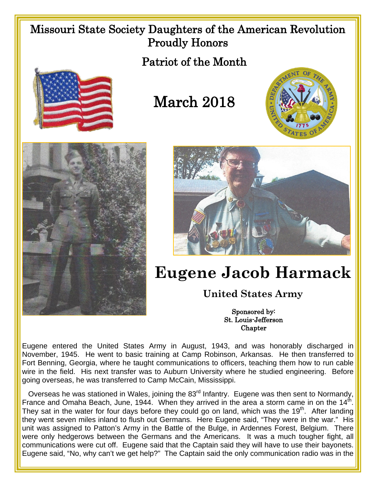## Missouri State Society Daughters of the American Revolution Proudly Honors

Patriot of the Month



## March 2018







## **Eugene Jacob Harmack**

## **United States Army**

Sponsored by: St. Louis-Jefferson **Chapter** 

Eugene entered the United States Army in August, 1943, and was honorably discharged in November, 1945. He went to basic training at Camp Robinson, Arkansas. He then transferred to Fort Benning, Georgia, where he taught communications to officers, teaching them how to run cable wire in the field. His next transfer was to Auburn University where he studied engineering. Before going overseas, he was transferred to Camp McCain, Mississippi.

Overseas he was stationed in Wales, joining the 83<sup>rd</sup> Infantry. Eugene was then sent to Normandy, France and Omaha Beach, June, 1944. When they arrived in the area a storm came in on the  $14<sup>th</sup>$ . They sat in the water for four days before they could go on land, which was the 19<sup>th</sup>. After landing they went seven miles inland to flush out Germans. Here Eugene said, "They were in the war." His unit was assigned to Patton's Army in the Battle of the Bulge, in Ardennes Forest, Belgium. There were only hedgerows between the Germans and the Americans. It was a much tougher fight, all communications were cut off. Eugene said that the Captain said they will have to use their bayonets. Eugene said, "No, why can't we get help?" The Captain said the only communication radio was in the